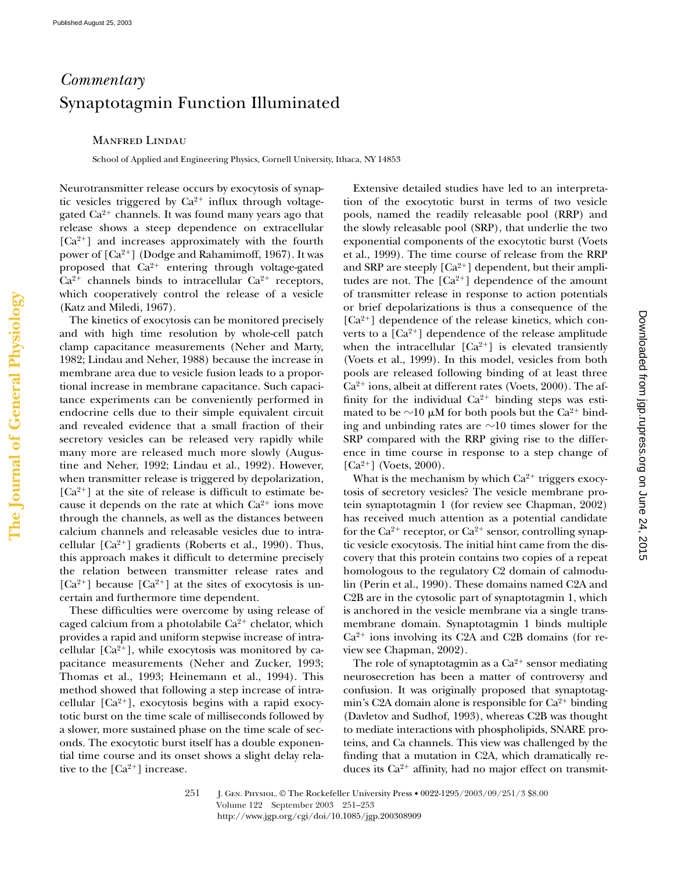## *Commentary* Synaptotagmin Function Illuminated

## Manfred Lindau

School of Applied and Engineering Physics, Cornell University, Ithaca, NY 14853

Neurotransmitter release occurs by exocytosis of synaptic vesicles triggered by  $Ca^{2+}$  influx through voltagegated Ca $^{2+}$  channels. It was found many years ago that release shows a steep dependence on extracellular [Ca<sup>2+</sup>] and increases approximately with the fourth power of  $[Ca^{2+}]$  (Dodge and Rahamimoff, 1967). It was proposed that Ca<sup>2+</sup> entering through voltage-gated  $Ca^{2+}$  channels binds to intracellular  $Ca^{2+}$  receptors, which cooperatively control the release of a vesicle (Katz and Miledi, 1967).

The kinetics of exocytosis can be monitored precisely and with high time resolution by whole-cell patch clamp capacitance measurements (Neher and Marty, 1982; Lindau and Neher, 1988) because the increase in membrane area due to vesicle fusion leads to a proportional increase in membrane capacitance. Such capacitance experiments can be conveniently performed in endocrine cells due to their simple equivalent circuit and revealed evidence that a small fraction of their secretory vesicles can be released very rapidly while many more are released much more slowly (Augustine and Neher, 1992; Lindau et al., 1992). However, when transmitter release is triggered by depolarization,  $[Ca<sup>2+</sup>]$  at the site of release is difficult to estimate because it depends on the rate at which  $Ca^{2+}$  ions move through the channels, as well as the distances between calcium channels and releasable vesicles due to intracellular  $[Ca^{2+}]$  gradients (Roberts et al., 1990). Thus, this approach makes it difficult to determine precisely the relation between transmitter release rates and [ $Ca^{2+}$ ] because [ $Ca^{2+}$ ] at the sites of exocytosis is uncertain and furthermore time dependent.

These difficulties were overcome by using release of caged calcium from a photolabile  $Ca^{2+}$  chelator, which provides a rapid and uniform stepwise increase of intracellular  $[Ca^{2+}]$ , while exocytosis was monitored by capacitance measurements (Neher and Zucker, 1993; Thomas et al., 1993; Heinemann et al., 1994). This method showed that following a step increase of intracellular [Ca<sup>2+</sup>], exocytosis begins with a rapid exocytotic burst on the time scale of milliseconds followed by a slower, more sustained phase on the time scale of seconds. The exocytotic burst itself has a double exponential time course and its onset shows a slight delay relative to the  $[Ca^{2+}]$  increase.

Extensive detailed studies have led to an interpretation of the exocytotic burst in terms of two vesicle pools, named the readily releasable pool (RRP) and the slowly releasable pool (SRP), that underlie the two exponential components of the exocytotic burst (Voets et al., 1999). The time course of release from the RRP and SRP are steeply  $[Ca^{2+}]$  dependent, but their amplitudes are not. The  $[Ca^{2+}]$  dependence of the amount of transmitter release in response to action potentials or brief depolarizations is thus a consequence of the [Ca<sup>2+</sup>] dependence of the release kinetics, which converts to a  $[Ca^{2+}]$  dependence of the release amplitude when the intracellular  $[Ca^{2+}]$  is elevated transiently (Voets et al., 1999). In this model, vesicles from both pools are released following binding of at least three Ca<sup>2+</sup> ions, albeit at different rates (Voets, 2000). The affinity for the individual  $Ca^{2+}$  binding steps was estimated to be  $\sim$ 10 µM for both pools but the Ca $^{2+}$  binding and unbinding rates are  ${\sim}10$  times slower for the SRP compared with the RRP giving rise to the difference in time course in response to a step change of  $[Ca^{2+}]$  (Voets, 2000).

What is the mechanism by which  $Ca^{2+}$  triggers exocytosis of secretory vesicles? The vesicle membrane protein synaptotagmin 1 (for review see Chapman, 2002) has received much attention as a potential candidate for the Ca $^{2+}$  receptor, or Ca $^{2+}$  sensor, controlling synaptic vesicle exocytosis. The initial hint came from the discovery that this protein contains two copies of a repeat homologous to the regulatory C2 domain of calmodulin (Perin et al., 1990). These domains named C2A and C2B are in the cytosolic part of synaptotagmin 1, which is anchored in the vesicle membrane via a single transmembrane domain. Synaptotagmin 1 binds multiple Ca<sup>2+</sup> ions involving its C2A and C2B domains (for review see Chapman, 2002).

The role of synaptotagmin as a  $Ca^{2+}$  sensor mediating neurosecretion has been a matter of controversy and confusion. It was originally proposed that synaptotagmin's C2A domain alone is responsible for  $Ca^{2+}$  binding (Davletov and Sudhof, 1993), whereas C2B was thought to mediate interactions with phospholipids, SNARE proteins, and Ca channels. This view was challenged by the finding that a mutation in C2A, which dramatically reduces its Ca<sup>2+</sup> affinity, had no major effect on transmit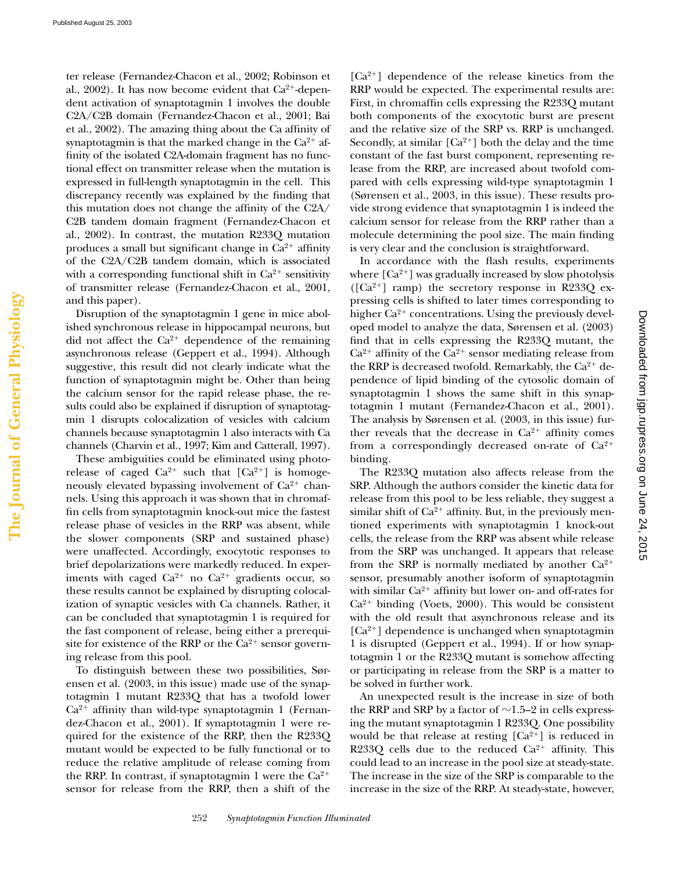**The Journal of General Physiology**

The Journal of General Physiology

ter release (Fernandez-Chacon et al., 2002; Robinson et al., 2002). It has now become evident that Ca<sup>2+</sup>-dependent activation of synaptotagmin 1 involves the double C2A/C2B domain (Fernandez-Chacon et al., 2001; Bai et al., 2002). The amazing thing about the Ca affinity of synaptotagmin is that the marked change in the  $Ca^{2+}$  affinity of the isolated C2A-domain fragment has no functional effect on transmitter release when the mutation is expressed in full-length synaptotagmin in the cell. This discrepancy recently was explained by the finding that this mutation does not change the affinity of the C2A/ C2B tandem domain fragment (Fernandez-Chacon et al., 2002). In contrast, the mutation R233Q mutation produces a small but significant change in  $Ca^{2+}$  affinity of the C2A/C2B tandem domain, which is associated with a corresponding functional shift in  $Ca^{2+}$  sensitivity of transmitter release (Fernandez-Chacon et al., 2001, and this paper).

Disruption of the synaptotagmin 1 gene in mice abolished synchronous release in hippocampal neurons, but did not affect the  $Ca^{2+}$  dependence of the remaining asynchronous release (Geppert et al., 1994). Although suggestive, this result did not clearly indicate what the function of synaptotagmin might be. Other than being the calcium sensor for the rapid release phase, the results could also be explained if disruption of synaptotagmin 1 disrupts colocalization of vesicles with calcium channels because synaptotagmin 1 also interacts with Ca channels (Charvin et al., 1997; Kim and Catterall, 1997).

These ambiguities could be eliminated using photorelease of caged  $Ca^{2+}$  such that  $[Ca^{2+}]$  is homogeneously elevated bypassing involvement of  $Ca^{2+}$  channels. Using this approach it was shown that in chromaffin cells from synaptotagmin knock-out mice the fastest release phase of vesicles in the RRP was absent, while the slower components (SRP and sustained phase) were unaffected. Accordingly, exocytotic responses to brief depolarizations were markedly reduced. In experiments with caged  $Ca^{2+}$  no  $Ca^{2+}$  gradients occur, so these results cannot be explained by disrupting colocalization of synaptic vesicles with Ca channels. Rather, it can be concluded that synaptotagmin 1 is required for the fast component of release, being either a prerequisite for existence of the RRP or the  $Ca^{2+}$  sensor governing release from this pool.

To distinguish between these two possibilities, Sørensen et al. (2003, in this issue) made use of the synaptotagmin 1 mutant R233Q that has a twofold lower Ca<sup>2+</sup> affinity than wild-type synaptotagmin 1 (Fernandez-Chacon et al., 2001). If synaptotagmin 1 were required for the existence of the RRP, then the R233Q mutant would be expected to be fully functional or to reduce the relative amplitude of release coming from the RRP. In contrast, if synaptotagmin 1 were the  $Ca^{2+}$ sensor for release from the RRP, then a shift of the

[Ca<sup>2+</sup>] dependence of the release kinetics from the RRP would be expected. The experimental results are: First, in chromaffin cells expressing the R233Q mutant both components of the exocytotic burst are present and the relative size of the SRP vs. RRP is unchanged. Secondly, at similar  $[Ca^{2+}]$  both the delay and the time constant of the fast burst component, representing release from the RRP, are increased about twofold compared with cells expressing wild-type synaptotagmin 1 (Sørensen et al., 2003, in this issue). These results provide strong evidence that synaptotagmin 1 is indeed the calcium sensor for release from the RRP rather than a molecule determining the pool size. The main finding is very clear and the conclusion is straightforward.

In accordance with the flash results, experiments where  $[Ca^{2+}]$  was gradually increased by slow photolysis  $([Ca<sup>2+</sup>]$  ramp) the secretory response in R233Q expressing cells is shifted to later times corresponding to higher Ca $^{2+}$  concentrations. Using the previously developed model to analyze the data, Sørensen et al. (2003) find that in cells expressing the R233Q mutant, the  $Ca<sup>2+</sup>$  affinity of the  $Ca<sup>2+</sup>$  sensor mediating release from the RRP is decreased twofold. Remarkably, the  $Ca^{2+}$  dependence of lipid binding of the cytosolic domain of synaptotagmin 1 shows the same shift in this synaptotagmin 1 mutant (Fernandez-Chacon et al., 2001). The analysis by Sørensen et al. (2003, in this issue) further reveals that the decrease in  $Ca^{2+}$  affinity comes from a correspondingly decreased on-rate of  $Ca^{2+}$ binding.

The R233Q mutation also affects release from the SRP. Although the authors consider the kinetic data for release from this pool to be less reliable, they suggest a similar shift of  $Ca^{2+}$  affinity. But, in the previously mentioned experiments with synaptotagmin 1 knock-out cells, the release from the RRP was absent while release from the SRP was unchanged. It appears that release from the SRP is normally mediated by another  $Ca^{2+}$ sensor, presumably another isoform of synaptotagmin with similar  $Ca^{2+}$  affinity but lower on- and off-rates for  $Ca<sup>2+</sup>$  binding (Voets, 2000). This would be consistent with the old result that asynchronous release and its [Ca<sup>2+</sup>] dependence is unchanged when synaptotagmin 1 is disrupted (Geppert et al., 1994). If or how synaptotagmin 1 or the R233Q mutant is somehow affecting or participating in release from the SRP is a matter to be solved in further work.

An unexpected result is the increase in size of both the RRP and SRP by a factor of  ${\sim}1.5{\text{--}}2$  in cells expressing the mutant synaptotagmin 1 R233Q. One possibility would be that release at resting  $[Ca^{2+}]$  is reduced in R233Q cells due to the reduced  $Ca^{2+}$  affinity. This could lead to an increase in the pool size at steady-state. The increase in the size of the SRP is comparable to the increase in the size of the RRP. At steady-state, however,